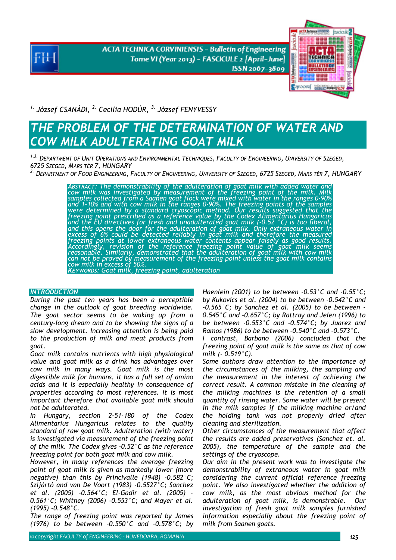**ACTA TECHNICA CORVINIENSIS - Bulletin of Engineering** Tome VI (Year 2013) - FASCICULE 2 [April-June] ISSN 2067-3809



*1. József CSANÁDI, 2. Cecilia HODÚR, 3. József FENYVESSY* 

# **THE PROBLEM OF THE DETERMINATION OF WATER AND** *COW MILK ADULTERATING GOAT MILK*

*1,3. DEPARTMENT OF UNIT OPERATIONS AND ENVIRONMENTAL TECHNIQUES, FACULTY OF ENGINEERING, UNIVERSITY OF SZEGED, 6725 SZEGED, MARS TÉR 7, HUNGARY*

*2. DEPARTMENT OF FOOD ENGINEERING, FACULTY OF ENGINEERING, UNIVERSITY OF SZEGED, 6725 SZEGED, MARS TÉR 7, HUNGARY* 

*ABSTRACT: The demonstrability of the adulteration of goat milk with added water and cow milk was investigated by measurement of the freezing point of the milk. Milk samples collected from a Saanen goat flock were mixed with water in the ranges 0-90% and 1-10% and with cow milk in the ranges 0-90%. The freezing points of the samples were determined by a standard cryoscopic method. Our results suggested that the freezing point prescribed as a reference value by the Codex Alimentarius Hungaricus*  ´and the EU directives for fresh and unadulterated goat milk (-0.52 °C) is too liberal,<br>and this opens the door for the adulteration of goat milk. Only extraneous water in<br>excess of 6% could be detected reliably in goat mi *freezing points at lower extraneous water contents appear falsely as good results.*  'Accordingly, revision of the reference freezing point value of goat milk seems<br>reasonable. Similarly, demonstrated that the adulteration of goat milk with cow milk<br>can not be proved by measurement of the freezing point un

*KEYWORDS: Goat milk, freezing point, adulteration* 

## *INTRODUCTION*

*During the past ten years has been a perceptible change in the outlook of goat breeding worldwide. The goat sector seems to be waking up from a century-long dream and to be showing the signs of a slow development. Increasing attention is being paid to the production of milk and meat products from goat.* 

*Goat milk contains nutrients with high physiological value and goat milk as a drink has advantages over cow milk in many ways. Goat milk is the most digestible milk for humans, it has a full set of amino acids and it is especially healthy in consequence of properties according to most references. It is most important therefore that available goat milk should not be adulterated.* 

*In Hungary, section 2-51-180 of the Codex Alimentarius Hungaricus relates to the quality standard of raw goat milk. Adulteration (with water) is investigated via measurement of the freezing point of the milk. The Codex gives -0.52°C as the reference freezing point for both goat milk and cow milk.* 

*However, in many references the average freezing point of goat milk is given as markedly lower (more negative) than this by Princivalle (1948) -0.582°C; Szíjártó and van De Voort (1983) -0.5527°C; Sanchez et al. (2005) -0.564°C; El-Gadir et al. (2005) - 0.561°C; Whitney (2006) -0.553°C; and Mayer et al. (1995) -0.548°C.* 

*The range of freezing point was reported by James (1976) to be between -0.550°C and -0.578°C; by*  *Haenlein (2001) to be between -0.53°C and -0.55°C; by Kukovics et al. (2004) to be between -0.542°C and -0.565°C; by Sanchez et al. (2005) to be between - 0.545°C and -0.657°C; by Rattray and Jelen (1996) to be between -0.553°C and -0.574°C; by Juarez and Ramos (1986) to be between -0.540°C and -0.573°C.* 

*I contrast, Barbano (2006) concluded that the freezing point of goat milk is the same as that of cow milk (- 0.519°C).* 

*Some authors draw attention to the importance of the circumstances of the milking, the sampling and the measurement in the interest of achieving the correct result. A common mistake in the cleaning of the milking machines is the retention of a small quantity of rinsing water. Some water will be present in the milk samples if the milking machine or/and the holding tank was not properly dried after cleaning and sterilization.* 

*Other circumstances of the measurement that affect the results are added preservatives (Sanchez et. al. 2005), the temperature of the sample and the settings of the cryoscope.* 

*Our aim in the present work was to investigate the demonstrability of extraneous water in goat milk considering the current official reference freezing point. We also investigated whether the addition of cow milk, as the most obvious method for the adulteration of goat milk, is demonstrable. Our investigation of fresh goat milk samples furnished information especially about the freezing point of milk from Saanen goats.*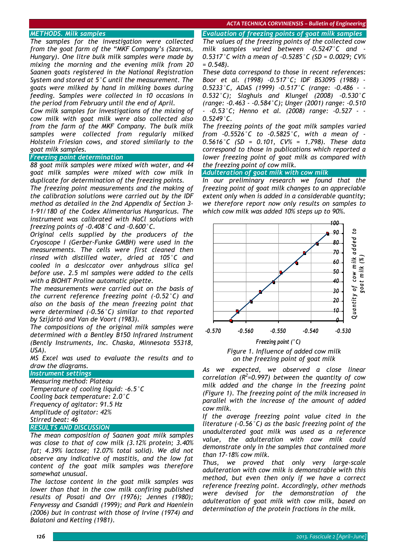#### *ACTA TECHNICA CORVINIENSIS – Bulletin of Engineering*

## *METHODS. Milk samples*

*The samples for the investigation were collected from the goat farm of the "MKF Company's (Szarvas, Hungary). One litre bulk milk samples were made by mixing the morning and the evening milk from 20 Saanen goats registered in the National Registration System and stored at 5°C until the measurement. The goats were milked by hand in milking boxes during feeding. Samples were collected in 10 occasions in the period from February until the end of April.* 

*Cow milk samples for investigations of the mixing of cow milk with goat milk were also collected also from the farm of the MKF Company. The bulk milk samples were collected from regularly milked Holstein Friesian cows, and stored similarly to the goat milk samples.* 

## *Freezing point determination*

*88 goat milk samples were mixed with water, and 44 goat milk samples were mixed with cow milk in duplicate for determination of the freezing points.* 

*The freezing point measurements and the making of the calibration solutions were carried out by the IDF method as detailed in the 2nd Appendix of Section 3- 1-91/180 of the Codex Alimentarius Hungaricus. The instrument was calibrated with NaCl solutions with freezing points of -0.408°C and -0.600°C.* 

*Original cells supplied by the producers of the Cryoscope I (Gerber-Funke GMBH) were used in the measurements. The cells were first cleaned then rinsed with distilled water, dried at 105°C and cooled in a desiccator over anhydrous silica gel before use. 2.5 ml samples were added to the cells with a BIOHIT Proline automatic pipette.* 

*The measurements were carried out on the basis of the current reference freezing point (-0.52°C) and also on the basis of the mean freezing point that were determined (-0.56°C) similar to that reported by Szíjártó and Van de Voort (1983).* 

*The compositions of the original milk samples were determined with a Bentley B150 Infrared Instrument (Bently Instruments, Inc. Chaska, Minnesota 55318, USA).* 

*MS Excel was used to evaluate the results and to draw the diagrams.* 

## *Instrument settings*

*Measuring method: Plateau Temperature of cooling liquid: -6.5°C Cooling back temperature: 2.0°C Frequency of agitator: 91.5 Hz Amplitude of agitator: 42% Stirred beat: 46* 

## *RESULTS AND DISCUSSION*

*The mean composition of Saanen goat milk samples was close to that of cow milk (3.12% protein; 3.40% fat; 4.39% lactose; 12.07% total solid). We did not observe any indicative of mastitis, and the low fat content of the goat milk samples was therefore somewhat unusual.* 

*The lactose content in the goat milk samples was lower than that in the cow milk confiring published results of Posati and Orr (1976); Jennes (1980); Fenyvessy and Csanádi (1999); and Park and Haenlein (2006) but in contrast with those of Irvine (1974) and Balatoni and Ketting (1981).* 

*Evaluation of freezing points of goat milk samples The values of the freezing points of the collected cow milk samples varied between -0.5247°C and - 0.5317°C with a mean of -0.5285°C (SD = 0.0029; CV% = 0.548).* 

*These data correspond to those in recent references: Boor et al. (1998) -0.517°C; IDF BS3095 (1988) - 0.5233°C, ADAS (1999) -0.517°C (range: -0.486 - - 0.532°C); Slaghuis and Klungel (2008) -0.530°C (range: -0.463 - -0.584°C); Unger (2001) range: -0.510 - -0.53°C; Henno et al. (2008) range: -0.527 - - 0.5249°C.* 

*The freezing points of the goat milk samples varied from -0.5526°C to -0.5825°C, with a mean of - 0.5616°C (SD = 0.101, CV% = 1.798). These data correspond to those in publications which reported a lower freezing point of goat milk as compared with the freezing point of cow milk.* 

*Adulteration of goat milk with cow milk* 

*In our preliminary research we found that the freezing point of goat milk changes to an appreciable extent only when is added in a considerable quantity; we therefore report now only results on samples to which cow milk was added 10% steps up to 90%.* 



*Figure 1. Influence of added cow milk on the freezing point of goat milk* 

*As we expected, we observed a close linear correlation (R<sup>2</sup> =0.997) between the quantity of cow milk added and the change in the freezing point (Figure 1). The freezing point of the milk increased in parallel with the increase of the amount of added cow milk.* 

*If the average freezing point value cited in the literature (-0.56°C) as the basic freezing point of the unadulterated goat milk was used as a reference value, the adulteration with cow milk could demonstrate only in the samples that contained more than 17-18% cow milk.* 

*Thus, we proved that only very large-scale adulteration with cow milk is demonstrable with this method, but even then only if we have a correct reference freezing point. Accordingly, other methods were devised for the demonstration of the adulteration of goat milk with cow milk, based on determination of the protein fractions in the milk.*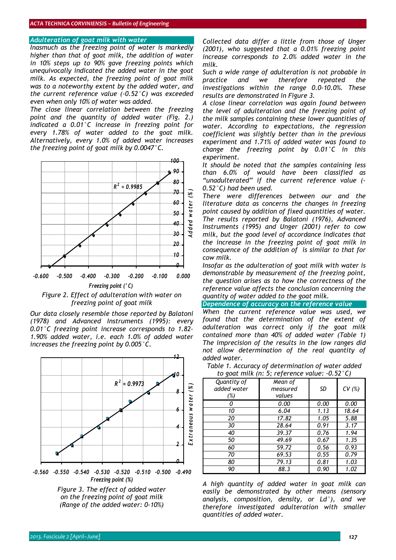#### *Adulteration of goat milk with water*

*Inasmuch as the freezing point of water is markedly higher than that of goat milk, the addition of water in 10% steps up to 90% gave freezing points which unequivocally indicated the added water in the goat milk. As expected, the freezing point of goat milk was to a noteworthy extent by the added water, and the current reference value (-0.52°C) was exceeded even when only 10% of water was added.* 

*The close linear correlation between the freezing point and the quantity of added water (Fig. 2.) indicated a 0.01°C increase in freezing point for every 1.78% of water added to the goat milk. Alternatively, every 1.0% of added water increases the freezing point of goat milk by 0.0047°C.* 





*Our data closely resemble those reported by Balatoni (1978) and Advanced Instruments (1995): every 0.01°C freezing point increase corresponds to 1.82- 1.90% added water, i.e. each 1.0% of added water increases the freezing point by 0.005°C.* 



*Figure 3. The effect of added water on the freezing point of goat milk (Range of the added water: 0-10%)* 

*Collected data differ a little from those of Unger (2001), who suggested that a 0.01% freezing point increase corresponds to 2.0% added water in the milk.* 

*Such a wide range of adulteration is not probable in practice and we therefore repeated the investigations within the range 0.0-10.0%. These results are demonstrated in Figure 3.* 

*A close linear correlation was again found between the level of adulteration and the freezing point of the milk samples containing these lower quantities of water. According to expectations, the regression coefficient was slightly better than in the previous experiment and 1.71% of added water was found to change the freezing point by 0.01°C in this experiment.* 

*It should be noted that the samples containing less than 6.0% of would have been classified as "unadulterated" if the current reference value (- 0.52°C) had been used.* 

*There were differences between our and the literature data as concerns the changes in freezing point caused by addition of fixed quantities of water. The results reported by Balatoni (1976), Advanced Instruments (1995) and Unger (2001) refer to cow milk, but the good level of accordance indicates that the increase in the freezing point of goat milk in consequence of the addition of is similar to that for cow milk.* 

*Insofar as the adulteration of goat milk with water is demonstrable by measurement of the freezing point, the question arises as to how the correctness of the reference value affects the conclusion concerning the quantity of water added to the goat milk.* 

*Dependence of accuracy on the reference value* 

*When the current reference value was used, we found that the determination of the extent of adulteration was correct only if the goat milk contained more than 40% of added water (Table 1) The imprecision of the results in the low ranges did not allow determination of the real quantity of added water.* 

*Table 1. Accuracy of determination of water added to goat milk (n: 5; reference value: -0.52°C)* 

| Quantity of<br>added water<br>$(\%)$ | Mean of<br>measured<br>values | SD   | CV(%) |
|--------------------------------------|-------------------------------|------|-------|
|                                      | 0.00                          | 0.00 | 0.00  |
| 10                                   | 6.04                          | 1.13 | 18.64 |
| 20                                   | 17.82                         | 1.05 | 5.88  |
| 30                                   | 28.64                         | 0.91 | 3.17  |
| 40                                   | 39.37                         | 0.76 | 1.94  |
| 50                                   | 49.69                         | 0.67 | 1.35  |
| 60                                   | 59.72                         | 0.56 | 0.93  |
| 70                                   | 69.53                         | 0.55 | 0.79  |
| 80                                   | 79.13                         | 0.81 | 1.03  |
| 90                                   | 88.3                          | 0.90 | 1.02  |

*A high quantity of added water in goat milk can easily be demonstrated by other means (sensory analysis, composition, density, or Ld°), and we therefore investigated adulteration with smaller quantities of added water.*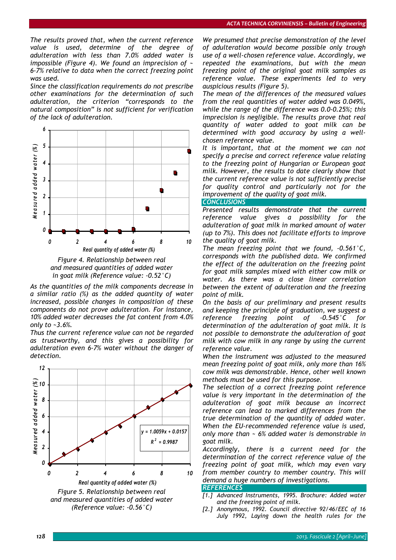*The results proved that, when the current reference value is used, determine of the degree of adulteration with less than 7.0% added water is impossible (Figure 4). We found an imprecision of ~ 6-7% relative to data when the correct freezing point was used.* 

*Since the classification requirements do not prescribe other examinations for the determination of such adulteration, the criterion "corresponds to the natural composition" is not sufficient for verification of the lack of adulteration.* 





*As the quantities of the milk components decrease in a similar ratio (%) as the added quantity of water increased, possible changes in composition of these components do not prove adulteration. For instance, 10% added water decreases the fat content from 4.0% only to ~3.6%.* 

*Thus the current reference value can not be regarded as trustworthy, and this gives a possibility for adulteration even 6-7% water without the danger of detection.* 



*We presumed that precise demonstration of the level of adulteration would become possible only trough use of a well-chosen reference value. Accordingly, we repeated the examinations, but with the mean freezing point of the original goat milk samples as reference value. These experiments led to very auspicious results (Figure 5).* 

*The mean of the differences of the measured values from the real quantities of water added was 0.049%, while the range of the difference was 0.0-0.25%; this imprecision is negligible. The results prove that real quantity of water added to goat milk can be determined with good accuracy by using a wellchosen reference value.* 

*It is important, that at the moment we can not specify a precise and correct reference value relating to the freezing point of Hungarian or European goat milk. However, the results to date clearly show that the current reference value is not sufficiently precise for quality control and particularly not for the improvement of the quality of goat milk.* 

### *CONCLUSIONS*

*Presented results demonstrate that the current reference value gives a possibility for the adulteration of goat milk in marked amount of water (up to 7%). This does not facilitate efforts to improve the quality of goat milk.* 

*The mean freezing point that we found, -0.561°C, corresponds with the published data. We confirmed the effect of the adulteration on the freezing point for goat milk samples mixed with either cow milk or water. As there was a close linear correlation between the extent of adulteration and the freezing point of milk.* 

*On the basis of our preliminary and present results and keeping the principle of graduation, we suggest a reference freezing point of -0.545°C for determination of the adulteration of goat milk. It is not possible to demonstrate the adulteration of goat milk with cow milk in any range by using the current reference value.* 

*When the instrument was adjusted to the measured mean freezing point of goat milk, only more than 16% cow milk was demonstrable. Hence, other well known methods must be used for this purpose.* 

*The selection of a correct freezing point reference value is very important in the determination of the adulteration of goat milk because an incorrect reference can lead to marked differences from the true determination of the quantity of added water. When the EU-recommended reference value is used, only more than ~ 6% added water is demonstrable in goat milk.* 

*Accordingly, there is a current need for the determination of the correct reference value of the freezing point of goat milk, which may even vary from member country to member country. This will demand a huge numbers of investigations.* 

#### *REFERENCES*

- *[1.] Advanced Instruments, 1995. Brochure: Added water and the freezing point of milk.*
- *[2.] Anonymous, 1992. Council directive 92/46/EEC of 16 July 1992, Laying down the health rules for the*